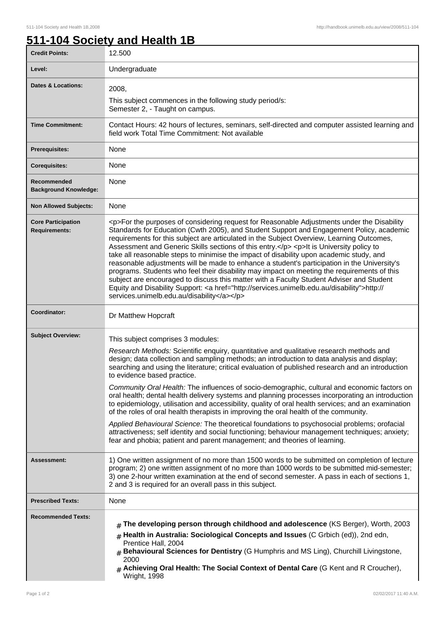٦

## **511-104 Society and Health 1B**

| <b>Credit Points:</b>                             | 12.500                                                                                                                                                                                                                                                                                                                                                                                                                                                                                                                                                                                                                                                                                                                                                                                                                                                                                                                       |
|---------------------------------------------------|------------------------------------------------------------------------------------------------------------------------------------------------------------------------------------------------------------------------------------------------------------------------------------------------------------------------------------------------------------------------------------------------------------------------------------------------------------------------------------------------------------------------------------------------------------------------------------------------------------------------------------------------------------------------------------------------------------------------------------------------------------------------------------------------------------------------------------------------------------------------------------------------------------------------------|
| Level:                                            | Undergraduate                                                                                                                                                                                                                                                                                                                                                                                                                                                                                                                                                                                                                                                                                                                                                                                                                                                                                                                |
| <b>Dates &amp; Locations:</b>                     | 2008,                                                                                                                                                                                                                                                                                                                                                                                                                                                                                                                                                                                                                                                                                                                                                                                                                                                                                                                        |
|                                                   | This subject commences in the following study period/s:<br>Semester 2, - Taught on campus.                                                                                                                                                                                                                                                                                                                                                                                                                                                                                                                                                                                                                                                                                                                                                                                                                                   |
| <b>Time Commitment:</b>                           | Contact Hours: 42 hours of lectures, seminars, self-directed and computer assisted learning and<br>field work Total Time Commitment: Not available                                                                                                                                                                                                                                                                                                                                                                                                                                                                                                                                                                                                                                                                                                                                                                           |
| <b>Prerequisites:</b>                             | None                                                                                                                                                                                                                                                                                                                                                                                                                                                                                                                                                                                                                                                                                                                                                                                                                                                                                                                         |
| <b>Corequisites:</b>                              | None                                                                                                                                                                                                                                                                                                                                                                                                                                                                                                                                                                                                                                                                                                                                                                                                                                                                                                                         |
| Recommended<br><b>Background Knowledge:</b>       | None                                                                                                                                                                                                                                                                                                                                                                                                                                                                                                                                                                                                                                                                                                                                                                                                                                                                                                                         |
| <b>Non Allowed Subjects:</b>                      | None                                                                                                                                                                                                                                                                                                                                                                                                                                                                                                                                                                                                                                                                                                                                                                                                                                                                                                                         |
| <b>Core Participation</b><br><b>Requirements:</b> | <p>For the purposes of considering request for Reasonable Adjustments under the Disability<br/>Standards for Education (Cwth 2005), and Student Support and Engagement Policy, academic<br/>requirements for this subject are articulated in the Subject Overview, Learning Outcomes,<br/>Assessment and Generic Skills sections of this entry.</p> <p>lt is University policy to<br/>take all reasonable steps to minimise the impact of disability upon academic study, and<br/>reasonable adjustments will be made to enhance a student's participation in the University's<br/>programs. Students who feel their disability may impact on meeting the requirements of this<br/>subject are encouraged to discuss this matter with a Faculty Student Adviser and Student<br/>Equity and Disability Support: &lt; a href="http://services.unimelb.edu.au/disability"&gt;http://<br/>services.unimelb.edu.au/disability</p> |
| Coordinator:                                      | Dr Matthew Hopcraft                                                                                                                                                                                                                                                                                                                                                                                                                                                                                                                                                                                                                                                                                                                                                                                                                                                                                                          |
| <b>Subject Overview:</b>                          | This subject comprises 3 modules:                                                                                                                                                                                                                                                                                                                                                                                                                                                                                                                                                                                                                                                                                                                                                                                                                                                                                            |
|                                                   | Research Methods: Scientific enquiry, quantitative and qualitative research methods and<br>design; data collection and sampling methods; an introduction to data analysis and display;<br>searching and using the literature; critical evaluation of published research and an introduction<br>to evidence based practice.                                                                                                                                                                                                                                                                                                                                                                                                                                                                                                                                                                                                   |
|                                                   | Community Oral Health: The influences of socio-demographic, cultural and economic factors on<br>oral health; dental health delivery systems and planning processes incorporating an introduction<br>to epidemiology, utilisation and accessibility, quality of oral health services; and an examination<br>of the roles of oral health therapists in improving the oral health of the community.                                                                                                                                                                                                                                                                                                                                                                                                                                                                                                                             |
|                                                   | Applied Behavioural Science: The theoretical foundations to psychosocial problems; orofacial<br>attractiveness; self identity and social functioning; behaviour management techniques; anxiety;<br>fear and phobia; patient and parent management; and theories of learning.                                                                                                                                                                                                                                                                                                                                                                                                                                                                                                                                                                                                                                                 |
| Assessment:                                       | 1) One written assignment of no more than 1500 words to be submitted on completion of lecture<br>program; 2) one written assignment of no more than 1000 words to be submitted mid-semester;<br>3) one 2-hour written examination at the end of second semester. A pass in each of sections 1,<br>2 and 3 is required for an overall pass in this subject.                                                                                                                                                                                                                                                                                                                                                                                                                                                                                                                                                                   |
| <b>Prescribed Texts:</b>                          | None                                                                                                                                                                                                                                                                                                                                                                                                                                                                                                                                                                                                                                                                                                                                                                                                                                                                                                                         |
| <b>Recommended Texts:</b>                         | The developing person through childhood and adolescence (KS Berger), Worth, 2003<br>Health in Australia: Sociological Concepts and Issues (C Grbich (ed)), 2nd edn,<br>#<br>Prentice Hall, 2004<br>Behavioural Sciences for Dentistry (G Humphris and MS Ling), Churchill Livingstone,<br>#<br>2000<br>$#$ Achieving Oral Health: The Social Context of Dental Care (G Kent and R Croucher),<br><b>Wright, 1998</b>                                                                                                                                                                                                                                                                                                                                                                                                                                                                                                          |